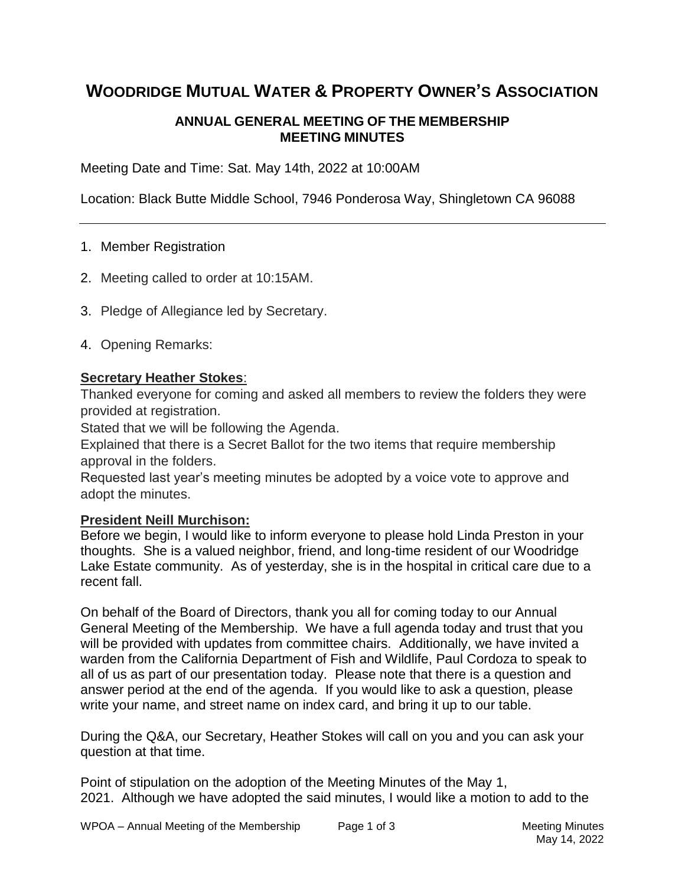# **WOODRIDGE MUTUAL WATER & PROPERTY OWNER'S ASSOCIATION**

## **ANNUAL GENERAL MEETING OF THE MEMBERSHIP MEETING MINUTES**

Meeting Date and Time: Sat. May 14th, 2022 at 10:00AM

Location: Black Butte Middle School, 7946 Ponderosa Way, Shingletown CA 96088

#### 1. Member Registration

- 2. Meeting called to order at 10:15AM.
- 3. Pledge of Allegiance led by Secretary.
- 4. Opening Remarks:

## **Secretary Heather Stokes**:

Thanked everyone for coming and asked all members to review the folders they were provided at registration.

Stated that we will be following the Agenda.

Explained that there is a Secret Ballot for the two items that require membership approval in the folders.

Requested last year's meeting minutes be adopted by a voice vote to approve and adopt the minutes.

#### **President Neill Murchison:**

Before we begin, I would like to inform everyone to please hold Linda Preston in your thoughts. She is a valued neighbor, friend, and long-time resident of our Woodridge Lake Estate community. As of yesterday, she is in the hospital in critical care due to a recent fall.

On behalf of the Board of Directors, thank you all for coming today to our Annual General Meeting of the Membership. We have a full agenda today and trust that you will be provided with updates from committee chairs. Additionally, we have invited a warden from the California Department of Fish and Wildlife, Paul Cordoza to speak to all of us as part of our presentation today. Please note that there is a question and answer period at the end of the agenda. If you would like to ask a question, please write your name, and street name on index card, and bring it up to our table.

During the Q&A, our Secretary, Heather Stokes will call on you and you can ask your question at that time.

Point of stipulation on the adoption of the Meeting Minutes of the May 1, 2021. Although we have adopted the said minutes, I would like a motion to add to the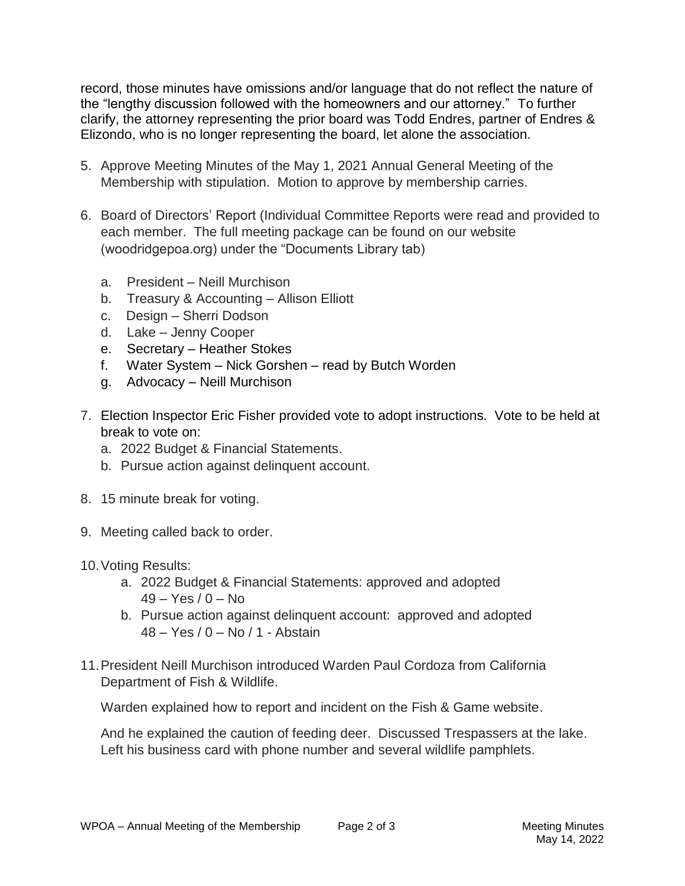record, those minutes have omissions and/or language that do not reflect the nature of the "lengthy discussion followed with the homeowners and our attorney." To further clarify, the attorney representing the prior board was Todd Endres, partner of Endres & Elizondo, who is no longer representing the board, let alone the association.

- 5. Approve Meeting Minutes of the May 1, 2021 Annual General Meeting of the Membership with stipulation. Motion to approve by membership carries.
- 6. Board of Directors' Report (Individual Committee Reports were read and provided to each member. The full meeting package can be found on our website (woodridgepoa.org) under the "Documents Library tab)
	- a. President Neill Murchison
	- b. Treasury & Accounting Allison Elliott
	- c. Design Sherri Dodson
	- d. Lake Jenny Cooper
	- e. Secretary Heather Stokes
	- f. Water System Nick Gorshen read by Butch Worden
	- g. Advocacy Neill Murchison
- 7. Election Inspector Eric Fisher provided vote to adopt instructions. Vote to be held at break to vote on:
	- a. 2022 Budget & Financial Statements.
	- b. Pursue action against delinquent account.
- 8. 15 minute break for voting.
- 9. Meeting called back to order.
- 10.Voting Results:
	- a. 2022 Budget & Financial Statements: approved and adopted  $49 - Yes / 0 - No$
	- b. Pursue action against delinquent account: approved and adopted 48 – Yes / 0 – No / 1 - Abstain
- 11.President Neill Murchison introduced Warden Paul Cordoza from California Department of Fish & Wildlife.

Warden explained how to report and incident on the Fish & Game website.

And he explained the caution of feeding deer. Discussed Trespassers at the lake. Left his business card with phone number and several wildlife pamphlets.